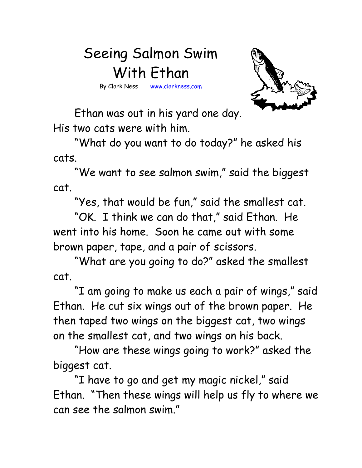## Seeing Salmon Swim With Ethan

By Clark Ness www.clarkness.com

Ethan was out in his yard one day. His two cats were with him.

"What do you want to do today?" he asked his cats.

"We want to see salmon swim," said the biggest cat.

"Yes, that would be fun," said the smallest cat.

"OK. I think we can do that," said Ethan. He went into his home. Soon he came out with some brown paper, tape, and a pair of scissors.

"What are you going to do?" asked the smallest cat.

"I am going to make us each a pair of wings," said Ethan. He cut six wings out of the brown paper. He then taped two wings on the biggest cat, two wings on the smallest cat, and two wings on his back.

"How are these wings going to work?" asked the biggest cat.

"I have to go and get my magic nickel," said Ethan. "Then these wings will help us fly to where we can see the salmon swim."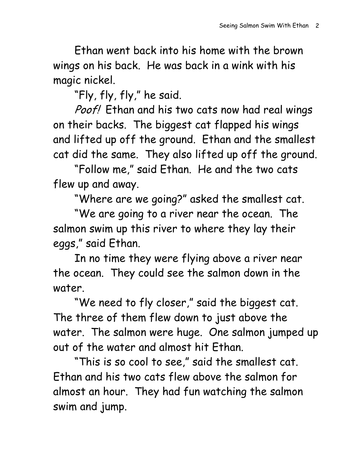Ethan went back into his home with the brown wings on his back. He was back in a wink with his magic nickel.

"Fly, fly, fly," he said.

Poof! Ethan and his two cats now had real wings on their backs. The biggest cat flapped his wings and lifted up off the ground. Ethan and the smallest cat did the same. They also lifted up off the ground.

"Follow me," said Ethan. He and the two cats flew up and away.

"Where are we going?" asked the smallest cat.

"We are going to a river near the ocean. The salmon swim up this river to where they lay their eggs," said Ethan.

In no time they were flying above a river near the ocean. They could see the salmon down in the water.

"We need to fly closer," said the biggest cat. The three of them flew down to just above the water. The salmon were huge. One salmon jumped up out of the water and almost hit Ethan.

"This is so cool to see," said the smallest cat. Ethan and his two cats flew above the salmon for almost an hour. They had fun watching the salmon swim and jump.